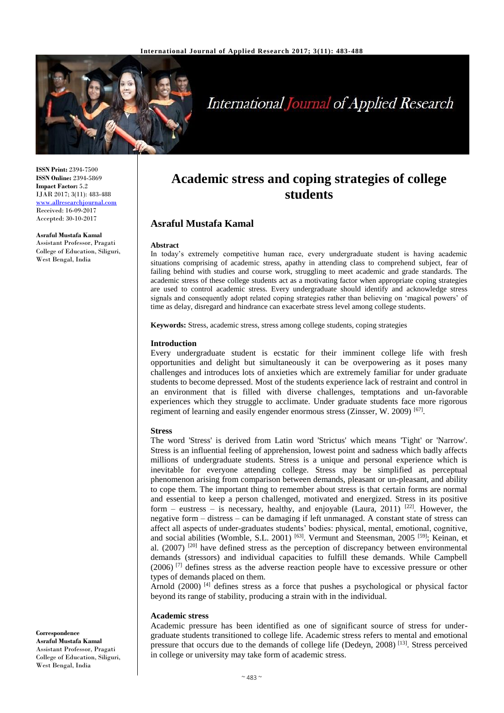

# **International Journal of Applied Research**

**ISSN Print:** 2394-7500 **ISSN Online:** 2394-5869 **Impact Factor:** 5.2 IJAR 2017; 3(11): 483-488 [www.allresearchjournal.com](http://www.allresearchjournal.com/) Received: 16-09-2017 Accepted: 30-10-2017

**Asraful Mustafa Kamal** Assistant Professor, Pragati College of Education, Siliguri, West Bengal, India

# **Academic stress and coping strategies of college students**

# **Asraful Mustafa Kamal**

#### **Abstract**

In today's extremely competitive human race, every undergraduate student is having academic situations comprising of academic stress, apathy in attending class to comprehend subject, fear of failing behind with studies and course work, struggling to meet academic and grade standards. The academic stress of these college students act as a motivating factor when appropriate coping strategies are used to control academic stress. Every undergraduate should identify and acknowledge stress signals and consequently adopt related coping strategies rather than believing on 'magical powers' of time as delay, disregard and hindrance can exacerbate stress level among college students.

**Keywords:** Stress, academic stress, stress among college students, coping strategies

#### **Introduction**

Every undergraduate student is ecstatic for their imminent college life with fresh opportunities and delight but simultaneously it can be overpowering as it poses many challenges and introduces lots of anxieties which are extremely familiar for under graduate students to become depressed. Most of the students experience lack of restraint and control in an environment that is filled with diverse challenges, temptations and un-favorable experiences which they struggle to acclimate. Under graduate students face more rigorous regiment of learning and easily engender enormous stress (Zinsser, W. 2009)<sup>[67]</sup>.

#### **Stress**

The word 'Stress' is derived from Latin word 'Strictus' which means 'Tight' or 'Narrow'. Stress is an influential feeling of apprehension, lowest point and sadness which badly affects millions of undergraduate students. Stress is a unique and personal experience which is inevitable for everyone attending college. Stress may be simplified as perceptual phenomenon arising from comparison between demands, pleasant or un-pleasant, and ability to cope them. The important thing to remember about stress is that certain forms are normal and essential to keep a person challenged, motivated and energized. Stress in its positive form – eustress – is necessary, healthy, and enjoyable (Laura, 2011)  $[22]$ . However, the negative form – distress – can be damaging if left unmanaged. A constant state of stress can affect all aspects of under-graduates students' bodies: physical, mental, emotional, cognitive, and social abilities (Womble, S.L. 2001)<sup>[63]</sup>. Vermunt and Steensman, 2005<sup>[59]</sup>; Keinan, et al.  $(2007)$  <sup>[20]</sup> have defined stress as the perception of discrepancy between environmental demands (stressors) and individual capacities to fulfill these demands. While Campbell (2006) [7] defines stress as the adverse reaction people have to excessive pressure or other types of demands placed on them.

Arnold  $(2000)$  [4] defines stress as a force that pushes a psychological or physical factor beyond its range of stability, producing a strain with in the individual.

#### **Academic stress**

Academic pressure has been identified as one of significant source of stress for undergraduate students transitioned to college life. Academic stress refers to mental and emotional pressure that occurs due to the demands of college life (Dedeyn, 2008)<sup>[13]</sup>. Stress perceived in college or university may take form of academic stress.

**Correspondence Asraful Mustafa Kamal** Assistant Professor, Pragati College of Education, Siliguri, West Bengal, India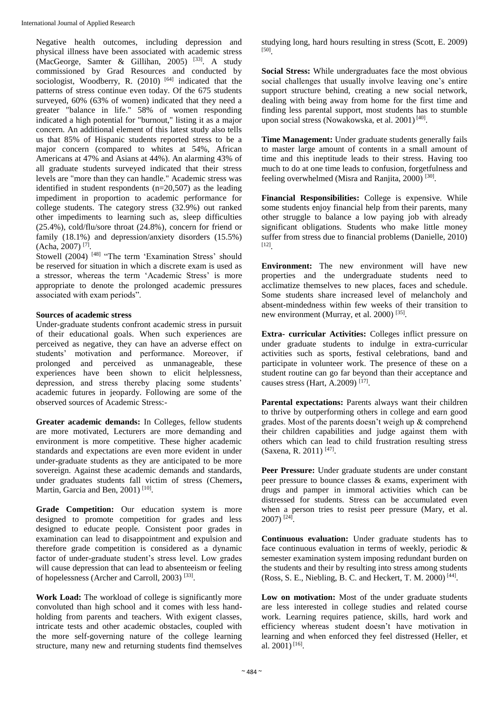Negative health outcomes, including depression and physical illness have been associated with academic stress (MacGeorge, Samter & Gillihan, 2005) [33] . A study commissioned by Grad Resources and conducted by sociologist, Woodberry, R. (2010)<sup>[64]</sup> indicated that the patterns of stress continue even today. Of the 675 students surveyed, 60% (63% of women) indicated that they need a greater "balance in life." 58% of women responding indicated a high potential for "burnout," listing it as a major concern. An additional element of this latest study also tells us that 85% of Hispanic students reported stress to be a major concern (compared to whites at 54%, African Americans at 47% and Asians at 44%). An alarming 43% of all graduate students surveyed indicated that their stress levels are "more than they can handle." Academic stress was identified in student respondents (n=20,507) as the leading impediment in proportion to academic performance for college students. The category stress (32.9%) out ranked other impediments to learning such as, sleep difficulties (25.4%), cold/flu/sore throat (24.8%), concern for friend or family (18.1%) and depression/anxiety disorders (15.5%) (Acha, 2007) [7] .

Stowell (2004)<sup>[48]</sup> "The term 'Examination Stress' should be reserved for situation in which a discrete exam is used as a stressor, whereas the term 'Academic Stress' is more appropriate to denote the prolonged academic pressures associated with exam periods".

#### **Sources of academic stress**

Under-graduate students confront academic stress in pursuit of their educational goals. When such experiences are perceived as negative, they can have an adverse effect on students' motivation and performance. Moreover, if prolonged and perceived as unmanageable, these experiences have been shown to elicit helplessness, depression, and stress thereby placing some students' academic futures in jeopardy. Following are some of the observed sources of Academic Stress:-

**Greater academic demands:** In Colleges, fellow students are more motivated, Lecturers are more demanding and environment is more competitive. These higher academic standards and expectations are even more evident in under under-graduate students as they are anticipated to be more sovereign. Against these academic demands and standards, under graduates students fall victim of stress (Chemers**,**  Martin, Garcia and Ben, 2001)<sup>[10]</sup>.

Grade Competition: Our education system is more designed to promote competition for grades and less designed to educate people. Consistent poor grades in examination can lead to disappointment and expulsion and therefore grade competition is considered as a dynamic factor of under-graduate student's stress level. Low grades will cause depression that can lead to absenteeism or feeling of hopelessness (Archer and Carroll, 2003)<sup>[33]</sup>.

**Work Load:** The workload of college is significantly more convoluted than high school and it comes with less handholding from parents and teachers. With exigent classes, intricate tests and other academic obstacles, coupled with the more self-governing nature of the college learning structure, many new and returning students find themselves studying long, hard hours resulting in stress (Scott, E. 2009) [50] .

**Social Stress:** While undergraduates face the most obvious social challenges that usually involve leaving one's entire support structure behind, creating a new social network, dealing with being away from home for the first time and finding less parental support, most students has to stumble upon social stress (Nowakowska, et al. 2001)<sup>[40]</sup>.

**Time Management:** Under graduate students generally fails to master large amount of contents in a small amount of time and this ineptitude leads to their stress. Having too much to do at one time leads to confusion, forgetfulness and feeling overwhelmed (Misra and Ranjita, 2000)<sup>[30]</sup>.

**Financial Responsibilities:** College is expensive. While some students enjoy financial help from their parents, many other struggle to balance a low paying job with already significant obligations. Students who make little money suffer from stress due to financial problems (Danielle, 2010) [12] .

**Environment:** The new environment will have new properties and the undergraduate students need to acclimatize themselves to new places, faces and schedule. Some students share increased level of melancholy and absent-mindedness within few weeks of their transition to new environment (Murray, et al. 2000)<sup>[35]</sup>.

**Extra- curricular Activities:** Colleges inflict pressure on under graduate students to indulge in extra-curricular activities such as sports, festival celebrations, band and participate in volunteer work. The presence of these on a student routine can go far beyond than their acceptance and causes stress (Hart, A.2009)<sup>[17]</sup>.

**Parental expectations:** Parents always want their children to thrive by outperforming others in college and earn good grades. Most of the parents doesn't weigh up & comprehend their children capabilities and judge against them with others which can lead to child frustration resulting stress (Saxena, R. 2011)<sup>[47]</sup>.

Peer Pressure: Under graduate students are under constant peer pressure to bounce classes & exams, experiment with drugs and pamper in immoral activities which can be distressed for students. Stress can be accumulated even when a person tries to resist peer pressure (Mary, et al. 2007) [24] .

**Continuous evaluation:** Under graduate students has to face continuous evaluation in terms of weekly, periodic & semester examination system imposing redundant burden on the students and their by resulting into stress among students (Ross, S. E., Niebling, B. C. and Heckert, T. M. 2000) [44] .

Low on motivation: Most of the under graduate students are less interested in college studies and related course work. Learning requires patience, skills, hard work and efficiency whereas student doesn't have motivation in learning and when enforced they feel distressed (Heller, et al. 2001)<sup>[16]</sup>.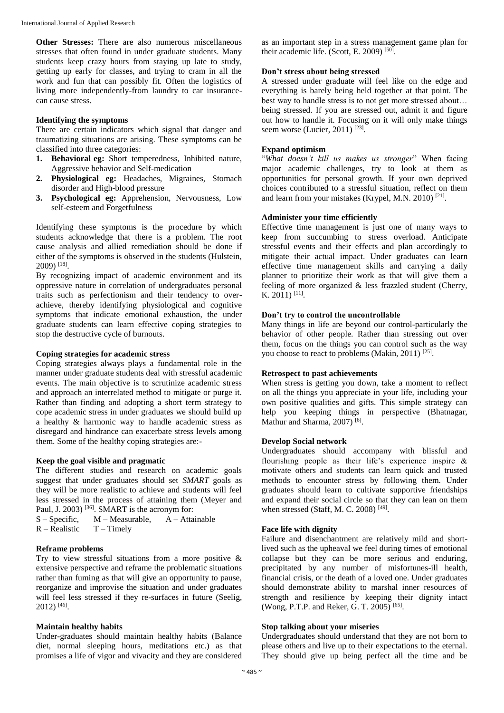**Other Stresses:** There are also numerous miscellaneous stresses that often found in under graduate students. Many students keep crazy hours from staying up late to study, getting up early for classes, and trying to cram in all the work and fun that can possibly fit. Often the logistics of living more independently-from laundry to car insurancecan cause stress.

#### **Identifying the symptoms**

There are certain indicators which signal that danger and traumatizing situations are arising. These symptoms can be classified into three categories:

- **1. Behavioral eg:** Short temperedness, Inhibited nature, Aggressive behavior and Self-medication
- **2. Physiological eg:** Headaches, Migraines, Stomach disorder and High-blood pressure
- **3. Psychological eg:** Apprehension, Nervousness, Low self-esteem and Forgetfulness

Identifying these symptoms is the procedure by which students acknowledge that there is a problem. The root cause analysis and allied remediation should be done if either of the symptoms is observed in the students (Hulstein, 2009) [18] .

By recognizing impact of academic environment and its oppressive nature in correlation of undergraduates personal traits such as perfectionism and their tendency to overachieve, thereby identifying physiological and cognitive symptoms that indicate emotional exhaustion, the under graduate students can learn effective coping strategies to stop the destructive cycle of burnouts.

#### **Coping strategies for academic stress**

Coping strategies always plays a fundamental role in the manner under graduate students deal with stressful academic events. The main objective is to scrutinize academic stress and approach an interrelated method to mitigate or purge it. Rather than finding and adopting a short term strategy to cope academic stress in under graduates we should build up a healthy & harmonic way to handle academic stress as disregard and hindrance can exacerbate stress levels among them. Some of the healthy coping strategies are:-

#### **Keep the goal visible and pragmatic**

The different studies and research on academic goals suggest that under graduates should set *SMART* goals as they will be more realistic to achieve and students will feel less stressed in the process of attaining them (Meyer and Paul, J. 2003)<sup>[36]</sup>. SMART is the acronym for:

```
S - Specific, M - Measurable, A - Attainable
```
 $R - Realistic$  T – Timely

#### **Reframe problems**

Try to view stressful situations from a more positive & extensive perspective and reframe the problematic situations rather than fuming as that will give an opportunity to pause, reorganize and improvise the situation and under graduates will feel less stressed if they re-surfaces in future (Seelig, 2012) [46] .

#### **Maintain healthy habits**

Under-graduates should maintain healthy habits (Balance diet, normal sleeping hours, meditations etc.) as that promises a life of vigor and vivacity and they are considered

as an important step in a stress management game plan for their academic life. (Scott, E. 2009)<sup>[50]</sup>.

#### **Don't stress about being stressed**

A stressed under graduate will feel like on the edge and everything is barely being held together at that point. The best way to handle stress is to not get more stressed about… being stressed. If you are stressed out, admit it and figure out how to handle it. Focusing on it will only make things seem worse (Lucier, 2011)<sup>[23]</sup>.

#### **Expand optimism**

"*What doesn't kill us makes us stronger*" When facing major academic challenges, try to look at them as opportunities for personal growth. If your own deprived choices contributed to a stressful situation, reflect on them and learn from your mistakes (Krypel, M.N. 2010)<sup>[21]</sup>.

#### **Administer your time efficiently**

Effective time management is just one of many ways to keep from succumbing to stress overload. Anticipate stressful events and their effects and plan accordingly to mitigate their actual impact. Under graduates can learn effective time management skills and carrying a daily planner to prioritize their work as that will give them a feeling of more organized & less frazzled student (Cherry, K. 2011)<sup>[11]</sup>.

# **Don't try to control the uncontrollable**

Many things in life are beyond our control-particularly the behavior of other people. Rather than stressing out over them, focus on the things you can control such as the way you choose to react to problems (Makin, 2011)<sup>[25]</sup>.

#### **Retrospect to past achievements**

When stress is getting you down, take a moment to reflect on all the things you appreciate in your life, including your own positive qualities and gifts. This simple strategy can help you keeping things in perspective (Bhatnagar, Mathur and Sharma, 2007)<sup>[6]</sup>.

#### **Develop Social network**

Undergraduates should accompany with blissful and flourishing people as their life's experience inspire & motivate others and students can learn quick and trusted methods to encounter stress by following them. Under graduates should learn to cultivate supportive friendships and expand their social circle so that they can lean on them when stressed (Staff, M. C. 2008)<sup>[49]</sup>.

#### **Face life with dignity**

Failure and disenchantment are relatively mild and shortlived such as the upheaval we feel during times of emotional collapse but they can be more serious and enduring, precipitated by any number of misfortunes-ill health, financial crisis, or the death of a loved one. Under graduates should demonstrate ability to marshal inner resources of strength and resilience by keeping their dignity intact (Wong, P.T.P. and Reker, G. T. 2005)<sup>[65]</sup>.

#### **Stop talking about your miseries**

Undergraduates should understand that they are not born to please others and live up to their expectations to the eternal. They should give up being perfect all the time and be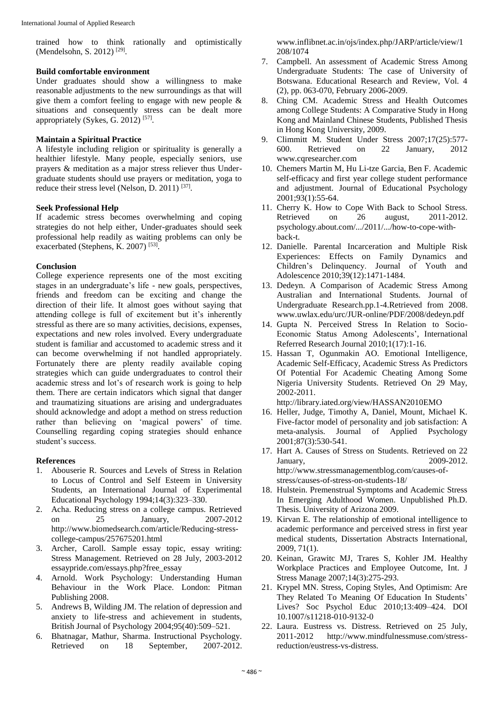trained how to think rationally and optimistically (Mendelsohn, S. 2012)<sup>[29]</sup>.

## **Build comfortable environment**

Under graduates should show a willingness to make reasonable adjustments to the new surroundings as that will give them a comfort feeling to engage with new people & situations and consequently stress can be dealt more appropriately (Sykes, G. 2012)<sup>[57]</sup>.

# **Maintain a Spiritual Practice**

A lifestyle including religion or spirituality is generally a healthier lifestyle. Many people, especially seniors, use prayers & meditation as a major stress reliever thus Undergraduate students should use prayers or meditation, yoga to reduce their stress level (Nelson, D. 2011)<sup>[37]</sup>.

## **Seek Professional Help**

If academic stress becomes overwhelming and coping strategies do not help either, Under-graduates should seek professional help readily as waiting problems can only be exacerbated (Stephens, K. 2007)<sup>[53]</sup>.

#### **Conclusion**

College experience represents one of the most exciting stages in an undergraduate's life - new goals, perspectives, friends and freedom can be exciting and change the direction of their life. It almost goes without saying that attending college is full of excitement but it's inherently stressful as there are so many activities, decisions, expenses, expectations and new roles involved. Every undergraduate student is familiar and accustomed to academic stress and it can become overwhelming if not handled appropriately. Fortunately there are plenty readily available coping strategies which can guide undergraduates to control their academic stress and lot's of research work is going to help them. There are certain indicators which signal that danger and traumatizing situations are arising and undergraduates should acknowledge and adopt a method on stress reduction rather than believing on 'magical powers' of time. Counselling regarding coping strategies should enhance student's success.

#### **References**

- 1. Abouserie R. Sources and Levels of Stress in Relation to Locus of Control and Self Esteem in University Students, an International Journal of Experimental Educational Psychology 1994;14(3):323–330.
- 2. Acha. Reducing stress on a college campus. Retrieved<br>on 25 January, 2007-2012 on 25 January, 2007-2012 http://www.biomedsearch.com/article/Reducing-stresscollege-campus/257675201.html
- 3. Archer, Caroll. Sample essay topic, essay writing: Stress Management. Retrieved on 28 July, 2003-2012 essaypride.com/essays.php?free\_essay
- 4. Arnold. Work Psychology: Understanding Human Behaviour in the Work Place. London: Pitman Publishing 2008.
- 5. Andrews B, Wilding JM. The relation of depression and anxiety to life-stress and achievement in students, British Journal of Psychology 2004;95(40):509–521.
- 6. Bhatnagar, Mathur, Sharma. Instructional Psychology. Retrieved on 18 September, 2007-2012.

www.inflibnet.ac.in/ojs/index.php/JARP/article/view/1 208/1074

- 7. Campbell. An assessment of Academic Stress Among Undergraduate Students: The case of University of Botswana. Educational Research and Review, Vol. 4 (2), pp. 063-070, February 2006-2009.
- 8. Ching CM. Academic Stress and Health Outcomes among College Students: A Comparative Study in Hong Kong and Mainland Chinese Students, Published Thesis in Hong Kong University, 2009.
- 9. Climmitt M. Student Under Stress 2007;17(25):577- 600. Retrieved on 22 January, 2012 www.cqresearcher.com
- 10. Chemers Martin M, Hu Li-tze Garcia, Ben F. Academic self-efficacy and first year college student performance and adjustment. Journal of Educational Psychology 2001;93(1):55-64.
- 11. Cherry K. How to Cope With Back to School Stress. Retrieved on 26 august, 2011-2012. psychology.about.com/.../2011/.../how-to-cope-withback-t.
- 12. Danielle. Parental Incarceration and Multiple Risk Experiences: Effects on Family Dynamics and Children's Delinquency. Journal of Youth and Adolescence 2010;39(12):1471-1484.
- 13. Dedeyn. A Comparison of Academic Stress Among Australian and International Students. Journal of Undergraduate Research.pp.1-4.Retrieved from 2008. www.uwlax.edu/urc/JUR-online/PDF/2008/dedeyn.pdf
- 14. Gupta N. Perceived Stress In Relation to Socio-Economic Status Among Adolescents', International Referred Research Journal 2010;1(17):1-16.
- 15. Hassan T, Ogunmakin AO. Emotional Intelligence, Academic Self-Efficacy, Academic Stress As Predictors Of Potential For Academic Cheating Among Some Nigeria University Students. Retrieved On 29 May, 2002-2011.

http://library.iated.org/view/HASSAN2010EMO

- 16. Heller, Judge, Timothy A, Daniel, Mount, Michael K. Five-factor model of personality and job satisfaction: A meta-analysis. Journal of Applied Psychology 2001;87(3):530-541.
- 17. Hart A. Causes of Stress on Students. Retrieved on 22 January, 2009-2012. http://www.stressmanagementblog.com/causes-ofstress/causes-of-stress-on-students-18/
- 18. Hulstein. Premenstrual Symptoms and Academic Stress In Emerging Adulthood Women. Unpublished Ph.D. Thesis. University of Arizona 2009.
- 19. Kirvan E. The relationship of emotional intelligence to academic performance and perceived stress in first year medical students, Dissertation Abstracts International, 2009, 71(1).
- 20. Keinan, Grawitc MJ, Trares S, Kohler JM. Healthy Workplace Practices and Employee Outcome, Int. J Stress Manage 2007;14(3):275-293.
- 21. Krypel MN. Stress, Coping Styles, And Optimism: Are They Related To Meaning Of Education In Students' Lives? Soc Psychol Educ 2010;13:409–424. DOI 10.1007/s11218-010-9132-0
- 22. Laura. Eustress vs. Distress. Retrieved on 25 July, 2011-2012 http://www.mindfulnessmuse.com/stressreduction/eustress-vs-distress.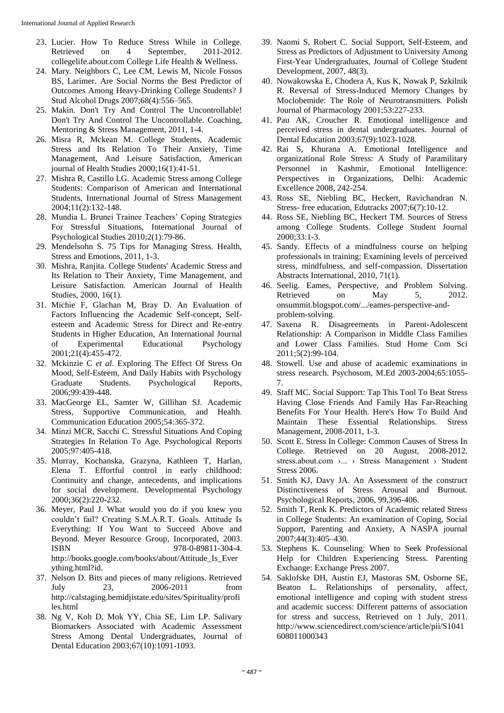- 23. Lucier. How To Reduce Stress While in College. Retrieved on 4 September, 2011-2012. collegelife.about.com College Life Health & Wellness.
- 24. Mary. Neighbors C, Lee CM, Lewis M, Nicole Fossos BS, Larimer. Are Social Norms the Best Predictor of Outcomes Among Heavy-Drinking College Students? J Stud Alcohol Drugs 2007;68(4):556–565.
- 25. Makin. Don't Try And Control The Uncontrollable! Don't Try And Control The Uncontrollable. Coaching, Mentoring & Stress Management, 2011, 1-4.
- 26. Misra R, Mckean M. College Students, Academic Stress and Its Relation To Their Anxiety, Time Management, And Leisure Satisfaction, American journal of Health Studies 2000;16(1):41-51.
- 27. Mishra R, Castillo LG. Academic Stress among College Students: Comparison of American and International Students, International Journal of Stress Management 2004;11(2):132-148.
- 28. Mundia L. Brunei Trainee Teachers' Coping Strategies For Stressful Situations, International Journal of Psychological Studies 2010;2(1):79-86.
- 29. Mendelsohn S. 75 Tips for Managing Stress. Health, Stress and Emotions, 2011, 1-3.
- 30. Mishra, Ranjita. College Students' Academic Stress and Its Relation to Their Anxiety, Time Management, and Leisure Satisfaction. American Journal of Health Studies, 2000, 16(1).
- 31. Michie F, Glachan M, Bray D. An Evaluation of Factors Influencing the Academic Self-concept, Selfesteem and Academic Stress for Direct and Re-entry Students in Higher Education, An International Journal of Experimental Educational Psychology 2001;21(4):455-472.
- 32. Mckinzie C *et al*. Exploring The Effect Of Stress On Mood, Self-Esteem, And Daily Habits with Psychology Graduate Students. Psychological Reports, 2006;99:439-448.
- 33. MacGeorge EL, Samter W, Gillihan SJ. Academic Stress, Supportive Communication, and Health. Communication Education 2005;54:365-372.
- 34. Minzi MCR, Sacchi C. Stressful Situations And Coping Strategies In Relation To Age. Psychological Reports 2005;97:405-418.
- 35. Murray, Kochanska, Grazyna, Kathleen T, Harlan, Elena T. Effortful control in early childhood: Continuity and change, antecedents, and implications for social development. Developmental Psychology 2000;36(2):220-232.
- 36. Meyer, Paul J. What would you do if you knew you couldn't fail? Creating S.M.A.R.T. Goals. Attitude Is Everything: If You Want to Succeed Above and Beyond. Meyer Resource Group, Incorporated, 2003. ISBN 978-0-89811-304-4. http://books.google.com/books/about/Attitude\_Is\_Ever ything.html?id.
- 37. Nelson D. Bits and pieces of many religions. Retrieved July 23, 2006-2011 from http://calstaging.bemidjistate.edu/sites/Spirituality/profi les.html
- 38. Ng V, Koh D, Mok YY, Chia SE, Lim LP. Salivary Biomarkers Associated with Academic Assessment Stress Among Dental Undergraduates, Journal of Dental Education 2003;67(10):1091-1093.
- 39. Naomi S, Robert C. Social Support, Self-Esteem, and Stress as Predictors of Adjustment to University Among First-Year Undergraduates, Journal of College Student Development, 2007, 48(3).
- 40. Nowakowska E, Chodera A, Kus K, Nowak P, Szkilnik R. Reversal of Stress-Induced Memory Changes by Moclobemide: The Role of Neurotransmitters. Polish Journal of Pharmacology 2001;53:227-233.
- 41. Pau AK, Croucher R. Emotional intelligence and perceived stress in dental undergraduates. Journal of Dental Education 2003;67(9):1023-1028.
- 42. Rai S, Khurana A. Emotional Intelligence and organizational Role Stress: A Study of Paramilitary Personnel in Kashmir, Emotional Intelligence: Perspectives in Organizations, Delhi: Academic Excellence 2008, 242-254.
- 43. Ross SE, Niebling BC, Heckert, Ravichandran N. Stress- free education, Edutracks 2007;6(7):10-12.
- 44. Ross SE, Niebling BC, Heckert TM. Sources of Stress among College Students. College Student Journal 2000;33:1-3.
- 45. Sandy. Effects of a mindfulness course on helping professionals in training: Examining levels of perceived stress, mindfulness, and self-compassion. Dissertation Abstracts International, 2010, 71(1).
- 46. Seelig. Eames, Perspective, and Problem Solving. Retrieved on May 5, 2012. onsummit.blogspot.com/.../eames-perspective-andproblem-solving.
- 47. Saxena R. Disagreements in Parent-Adolescent Relationship: A Comparison in Middle Class Families and Lower Class Families. Stud Home Com Sci 2011;5(2):99-104.
- 48. Stowell. Use and abuse of academic examinations in stress research. Psychosom, M.Ed 2003-2004;65:1055- 7.
- 49. Staff MC. Social Support: Tap This Tool To Beat Stress Having Close Friends And Family Has Far-Reaching Benefits For Your Health. Here's How To Build And Maintain These Essential Relationships. Stress Management, 2008-2011, 1-3.
- 50. Scott E. Stress In College: Common Causes of Stress In College. Retrieved on 20 August, 2008-2012. stress.about.com ›... › Stress Management › Student Stress 2006.
- 51. Smith KJ, Davy JA. An Assessment of the construct Distinctiveness of Stress Arousal and Burnout. Psychological Reports, 2006, 99,396-406.
- 52. Smith T, Renk K. Predictors of Academic related Stress in College Students: An examination of Coping, Social Support, Parenting and Anxiety, A NASPA journal 2007;44(3):405–430.
- 53. Stephens K. Counseling: When to Seek Professional Help for Children Experiencing Stress. Parenting Exchange: Exchange Press 2007.
- 54. Saklofske DH, Austin EJ, Mastoras SM, Osborne SE, Beaton L. Relationships of personality, affect, emotional intelligence and coping with student stress and academic success: Different patterns of association for stress and success, Retrieved on 1 July, 2011. http://www.sciencedirect.com/science/article/pii/S1041 608011000343